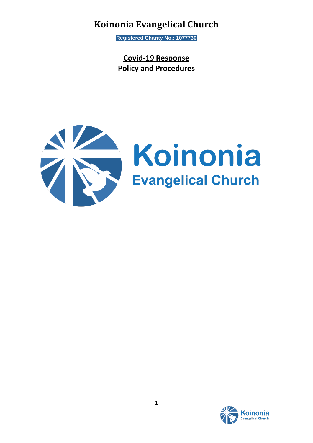**Registered Charity No.: 1077730**

**Covid-19 Response Policy and Procedures**



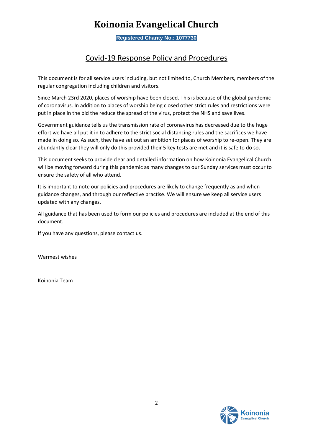**Registered Charity No.: 1077730**

### Covid-19 Response Policy and Procedures

This document is for all service users including, but not limited to, Church Members, members of the regular congregation including children and visitors.

Since March 23rd 2020, places of worship have been closed. This is because of the global pandemic of coronavirus. In addition to places of worship being closed other strict rules and restrictions were put in place in the bid the reduce the spread of the virus, protect the NHS and save lives.

Government guidance tells us the transmission rate of coronavirus has decreased due to the huge effort we have all put it in to adhere to the strict social distancing rules and the sacrifices we have made in doing so. As such, they have set out an ambition for places of worship to re-open. They are abundantly clear they will only do this provided their 5 key tests are met and it is safe to do so.

This document seeks to provide clear and detailed information on how Koinonia Evangelical Church will be moving forward during this pandemic as many changes to our Sunday services must occur to ensure the safety of all who attend.

It is important to note our policies and procedures are likely to change frequently as and when guidance changes, and through our reflective practise. We will ensure we keep all service users updated with any changes.

All guidance that has been used to form our policies and procedures are included at the end of this document.

If you have any questions, please contact us.

Warmest wishes

Koinonia Team

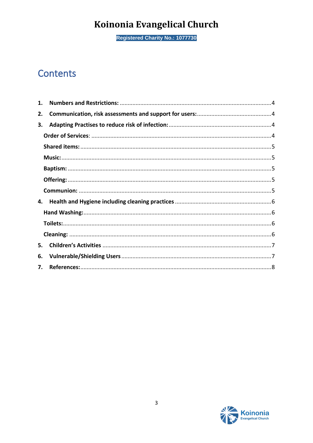**Registered Charity No.: 1077730** 

## Contents

| 1. |  |  |
|----|--|--|
| 2. |  |  |
| 3. |  |  |
|    |  |  |
|    |  |  |
|    |  |  |
|    |  |  |
|    |  |  |
|    |  |  |
| 4. |  |  |
|    |  |  |
|    |  |  |
|    |  |  |
| 5. |  |  |
| 6. |  |  |
| 7. |  |  |

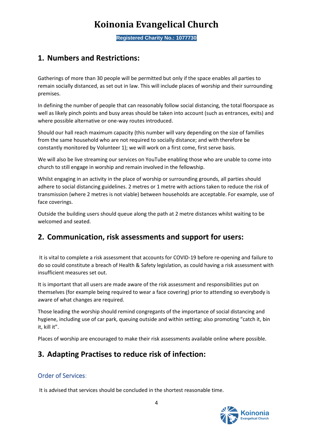**Registered Charity No.: 1077730**

### <span id="page-3-0"></span>**1. Numbers and Restrictions:**

Gatherings of more than 30 people will be permitted but only if the space enables all parties to remain socially distanced, as set out in law. This will include places of worship and their surrounding premises.

In defining the number of people that can reasonably follow social distancing, the total floorspace as well as likely pinch points and busy areas should be taken into account (such as entrances, exits) and where possible alternative or one-way routes introduced.

Should our hall reach maximum capacity (this number will vary depending on the size of families from the same household who are not required to socially distance; and with therefore be constantly monitored by Volunteer 1); we will work on a first come, first serve basis.

We will also be live streaming our services on YouTube enabling those who are unable to come into church to still engage in worship and remain involved in the fellowship.

Whilst engaging in an activity in the place of worship or surrounding grounds, all parties should adhere to social distancing guidelines. 2 metres or 1 metre with actions taken to reduce the risk of transmission (where 2 metres is not viable) between households are acceptable. For example, use of face coverings.

Outside the building users should queue along the path at 2 metre distances whilst waiting to be welcomed and seated.

### <span id="page-3-1"></span>**2. Communication, risk assessments and support for users:**

It is vital to complete a risk assessment that accounts for COVID-19 before re-opening and failure to do so could constitute a breach of Health & Safety legislation, as could having a risk assessment with insufficient measures set out.

It is important that all users are made aware of the risk assessment and responsibilities put on themselves (for example being required to wear a face covering) prior to attending so everybody is aware of what changes are required.

Those leading the worship should remind congregants of the importance of social distancing and hygiene, including use of car park, queuing outside and within setting; also promoting "catch it, bin it, kill it".

Places of worship are encouraged to make their risk assessments available online where possible.

### <span id="page-3-2"></span>**3. Adapting Practises to reduce risk of infection:**

#### <span id="page-3-3"></span>Order of Services:

It is advised that services should be concluded in the shortest reasonable time.

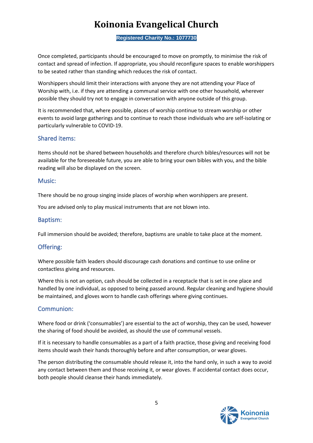**Registered Charity No.: 1077730**

Once completed, participants should be encouraged to move on promptly, to minimise the risk of contact and spread of infection. If appropriate, you should reconfigure spaces to enable worshippers to be seated rather than standing which reduces the risk of contact.

Worshippers should limit their interactions with anyone they are not attending your Place of Worship with, i.e. if they are attending a communal service with one other household, wherever possible they should try not to engage in conversation with anyone outside of this group.

It is recommended that, where possible, places of worship continue to stream worship or other events to avoid large gatherings and to continue to reach those individuals who are self-isolating or particularly vulnerable to COVID-19.

#### <span id="page-4-0"></span>Shared items:

Items should not be shared between households and therefore church bibles/resources will not be available for the foreseeable future, you are able to bring your own bibles with you, and the bible reading will also be displayed on the screen.

#### <span id="page-4-1"></span>Music:

There should be no group singing inside places of worship when worshippers are present.

You are advised only to play musical instruments that are not blown into.

#### <span id="page-4-2"></span>Baptism:

Full immersion should be avoided; therefore, baptisms are unable to take place at the moment.

#### <span id="page-4-3"></span>Offering:

Where possible faith leaders should discourage cash donations and continue to use online or contactless giving and resources.

Where this is not an option, cash should be collected in a receptacle that is set in one place and handled by one individual, as opposed to being passed around. Regular cleaning and hygiene should be maintained, and gloves worn to handle cash offerings where giving continues.

#### <span id="page-4-4"></span>Communion:

Where food or drink ('consumables') are essential to the act of worship, they can be used, however the sharing of food should be avoided, as should the use of communal vessels.

If it is necessary to handle consumables as a part of a faith practice, those giving and receiving food items should wash their hands thoroughly before and after consumption, or wear gloves.

The person distributing the consumable should release it, into the hand only, in such a way to avoid any contact between them and those receiving it, or wear gloves. If accidental contact does occur, both people should cleanse their hands immediately.

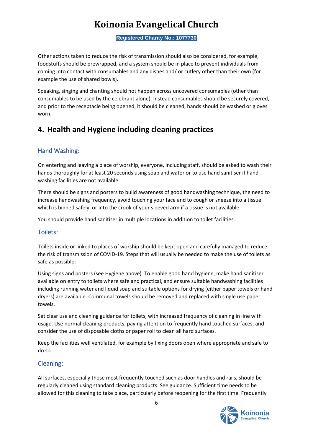**Registered Charity No.: 1077730**

Other actions taken to reduce the risk of transmission should also be considered, for example, foodstuffs should be prewrapped, and a system should be in place to prevent individuals from coming into contact with consumables and any dishes and/ or cutlery other than their own (for example the use of shared bowls).

Speaking, singing and chanting should not happen across uncovered consumables (other than consumables to be used by the celebrant alone). Instead consumables should be securely covered, and prior to the receptacle being opened, it should be cleaned, hands should be washed or gloves worn.

### <span id="page-5-0"></span>**4. Health and Hygiene including cleaning practices**

#### <span id="page-5-1"></span>Hand Washing:

On entering and leaving a place of worship, everyone, including staff, should be asked to wash their hands thoroughly for at least 20 seconds using soap and water or to use hand sanitiser if hand washing facilities are not available.

There should be signs and posters to build awareness of good handwashing technique, the need to increase handwashing frequency, avoid touching your face and to cough or sneeze into a tissue which is binned safely, or into the crook of your sleeved arm if a tissue is not available.

You should provide hand sanitiser in multiple locations in addition to toilet facilities.

#### <span id="page-5-2"></span>Toilets:

Toilets inside or linked to places of worship should be kept open and carefully managed to reduce the risk of transmission of COVID-19. Steps that will usually be needed to make the use of toilets as safe as possible:

Using signs and posters (see Hygiene above). To enable good hand hygiene, make hand sanitiser available on entry to toilets where safe and practical, and ensure suitable handwashing facilities including running water and liquid soap and suitable options for drying (either paper towels or hand dryers) are available. Communal towels should be removed and replaced with single use paper towels.

Set clear use and cleaning guidance for toilets, with increased frequency of cleaning in line with usage. Use normal cleaning products, paying attention to frequently hand touched surfaces, and consider the use of disposable cloths or paper roll to clean all hard surfaces.

Keep the facilities well ventilated, for example by fixing doors open where appropriate and safe to do so.

#### <span id="page-5-3"></span>Cleaning:

All surfaces, especially those most frequently touched such as door handles and rails, should be regularly cleaned using standard cleaning products. See guidance. Sufficient time needs to be allowed for this cleaning to take place, particularly before reopening for the first time. Frequently

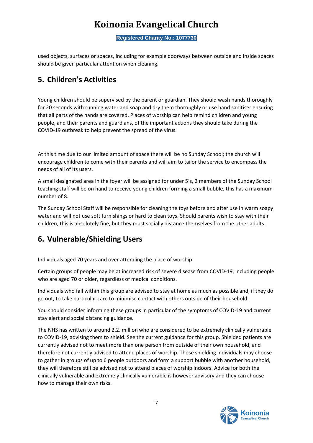**Registered Charity No.: 1077730**

used objects, surfaces or spaces, including for example doorways between outside and inside spaces should be given particular attention when cleaning.

## <span id="page-6-0"></span>**5. Children's Activities**

Young children should be supervised by the parent or guardian. They should wash hands thoroughly for 20 seconds with running water and soap and dry them thoroughly or use hand sanitiser ensuring that all parts of the hands are covered. Places of worship can help remind children and young people, and their parents and guardians, of the important actions they should take during the COVID-19 outbreak to help prevent the spread of the virus.

At this time due to our limited amount of space there will be no Sunday School; the church will encourage children to come with their parents and will aim to tailor the service to encompass the needs of all of its users.

A small designated area in the foyer will be assigned for under 5's, 2 members of the Sunday School teaching staff will be on hand to receive young children forming a small bubble, this has a maximum number of 8.

The Sunday School Staff will be responsible for cleaning the toys before and after use in warm soapy water and will not use soft furnishings or hard to clean toys. Should parents wish to stay with their children, this is absolutely fine, but they must socially distance themselves from the other adults.

### <span id="page-6-1"></span>**6. Vulnerable/Shielding Users**

Individuals aged 70 years and over attending the place of worship

Certain groups of people may be at increased risk of severe disease from COVID-19, including people who are aged 70 or older, regardless of medical conditions.

Individuals who fall within this group are advised to stay at home as much as possible and, if they do go out, to take particular care to minimise contact with others outside of their household.

You should consider informing these groups in particular of the symptoms of COVID-19 and current stay alert and social distancing guidance.

The NHS has written to around 2.2. million who are considered to be extremely clinically vulnerable to COVID-19, advising them to shield. See the current guidance for this group. Shielded patients are currently advised not to meet more than one person from outside of their own household, and therefore not currently advised to attend places of worship. Those shielding individuals may choose to gather in groups of up to 6 people outdoors and form a support bubble with another household, they will therefore still be advised not to attend places of worship indoors. Advice for both the clinically vulnerable and extremely clinically vulnerable is however advisory and they can choose how to manage their own risks.